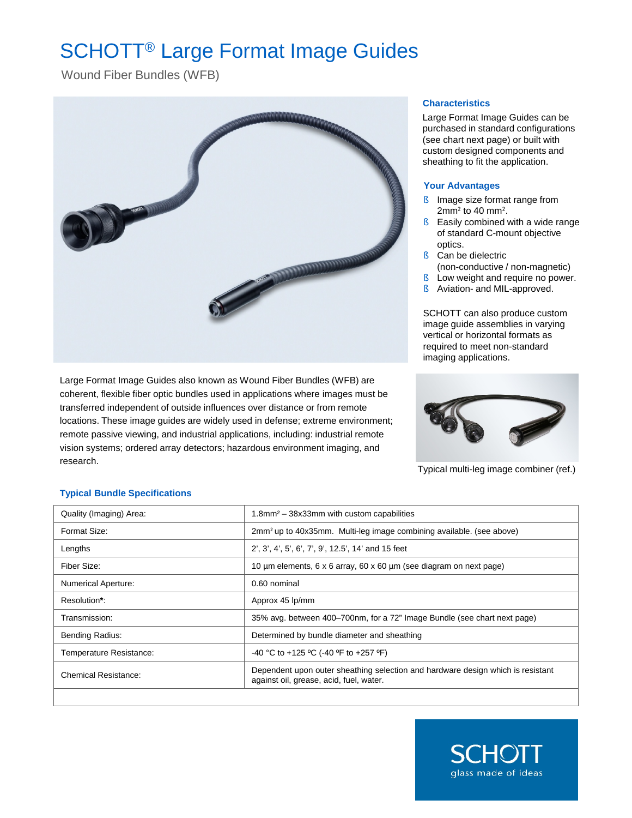# SCHOTT® Large Format Image Guides

Wound Fiber Bundles (WFB)



Large Format Image Guides also known as Wound Fiber Bundles (WFB) are coherent, flexible fiber optic bundles used in applications where images must be transferred independent of outside influences over distance or from remote locations. These image guides are widely used in defense; extreme environment; remote passive viewing, and industrial applications, including: industrial remote vision systems; ordered array detectors; hazardous environment imaging, and research.

#### **Characteristics**

Large Format Image Guides can be purchased in standard configurations (see chart next page) or built with custom designed components and sheathing to fit the application.

### **Your Advantages**

- § Image size format range from 2mm² to 40 mm².
- § Easily combined with a wide range of standard C-mount objective optics.
- § Can be dielectric
- (non-conductive / non-magnetic)
- § Low weight and require no power.
- § Aviation- and MIL-approved.

SCHOTT can also produce custom image guide assemblies in varying vertical or horizontal formats as required to meet non-standard imaging applications.



Typical multi-leg image combiner (ref.)

## **Typical Bundle Specifications**

| Quality (Imaging) Area:    | 1.8mm <sup>2</sup> - 38x33mm with custom capabilities                                                                      |
|----------------------------|----------------------------------------------------------------------------------------------------------------------------|
| Format Size:               | 2mm <sup>2</sup> up to 40x35mm. Multi-leg image combining available. (see above)                                           |
| Lengths                    | 2', 3', 4', 5', 6', 7', 9', 12.5', 14' and 15 feet                                                                         |
| Fiber Size:                | 10 um elements, 6 x 6 array, 60 x 60 um (see diagram on next page)                                                         |
| <b>Numerical Aperture:</b> | 0.60 nominal                                                                                                               |
| Resolution*:               | Approx 45 lp/mm                                                                                                            |
| Transmission:              | 35% avg. between 400–700nm, for a 72" Image Bundle (see chart next page)                                                   |
| <b>Bending Radius:</b>     | Determined by bundle diameter and sheathing                                                                                |
| Temperature Resistance:    | -40 °C to +125 °C (-40 °F to +257 °F)                                                                                      |
| Chemical Resistance:       | Dependent upon outer sheathing selection and hardware design which is resistant<br>against oil, grease, acid, fuel, water. |
|                            |                                                                                                                            |